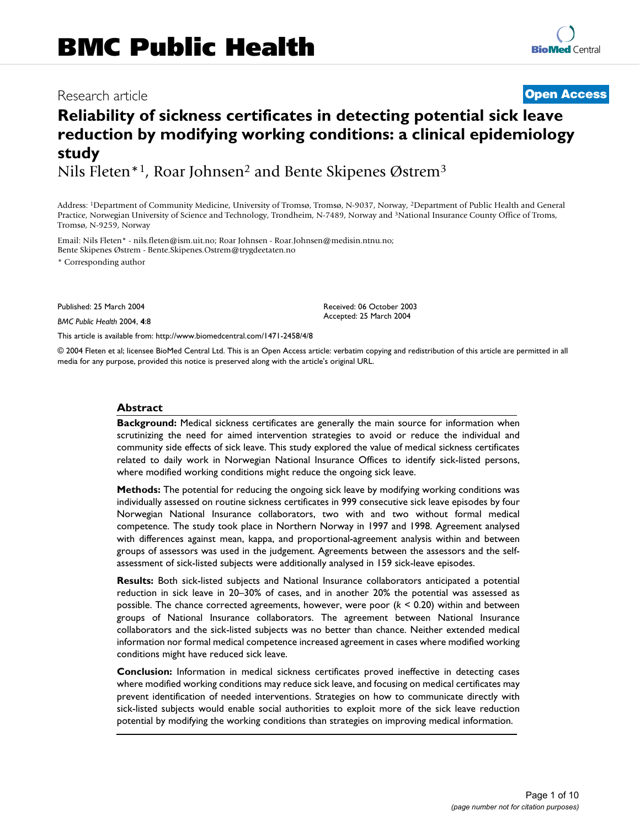# Research article **[Open Access](http://www.biomedcentral.com/info/about/charter/)**

# **Reliability of sickness certificates in detecting potential sick leave reduction by modifying working conditions: a clinical epidemiology study**

Nils Fleten<sup>\*1</sup>, Roar Johnsen<sup>2</sup> and Bente Skipenes Østrem<sup>3</sup>

Address: 1Department of Community Medicine, University of Tromsø, Tromsø, N-9037, Norway, 2Department of Public Health and General Practice, Norwegian University of Science and Technology, Trondheim, N-7489, Norway and 3National Insurance County Office of Troms, Tromsø, N-9259, Norway

Email: Nils Fleten\* - nils.fleten@ism.uit.no; Roar Johnsen - Roar.Johnsen@medisin.ntnu.no; Bente Skipenes Østrem - Bente.Skipenes.Ostrem@trygdeetaten.no

\* Corresponding author

Published: 25 March 2004

*BMC Public Health* 2004, **4**:8

[This article is available from: http://www.biomedcentral.com/1471-2458/4/8](http://www.biomedcentral.com/1471-2458/4/8)

© 2004 Fleten et al; licensee BioMed Central Ltd. This is an Open Access article: verbatim copying and redistribution of this article are permitted in all media for any purpose, provided this notice is preserved along with the article's original URL.

Received: 06 October 2003 Accepted: 25 March 2004

# **Abstract**

**Background:** Medical sickness certificates are generally the main source for information when scrutinizing the need for aimed intervention strategies to avoid or reduce the individual and community side effects of sick leave. This study explored the value of medical sickness certificates related to daily work in Norwegian National Insurance Offices to identify sick-listed persons, where modified working conditions might reduce the ongoing sick leave.

**Methods:** The potential for reducing the ongoing sick leave by modifying working conditions was individually assessed on routine sickness certificates in 999 consecutive sick leave episodes by four Norwegian National Insurance collaborators, two with and two without formal medical competence. The study took place in Northern Norway in 1997 and 1998. Agreement analysed with differences against mean, kappa, and proportional-agreement analysis within and between groups of assessors was used in the judgement. Agreements between the assessors and the selfassessment of sick-listed subjects were additionally analysed in 159 sick-leave episodes.

**Results:** Both sick-listed subjects and National Insurance collaborators anticipated a potential reduction in sick leave in 20–30% of cases, and in another 20% the potential was assessed as possible. The chance corrected agreements, however, were poor (*k* < 0.20) within and between groups of National Insurance collaborators. The agreement between National Insurance collaborators and the sick-listed subjects was no better than chance. Neither extended medical information nor formal medical competence increased agreement in cases where modified working conditions might have reduced sick leave.

**Conclusion:** Information in medical sickness certificates proved ineffective in detecting cases where modified working conditions may reduce sick leave, and focusing on medical certificates may prevent identification of needed interventions. Strategies on how to communicate directly with sick-listed subjects would enable social authorities to exploit more of the sick leave reduction potential by modifying the working conditions than strategies on improving medical information.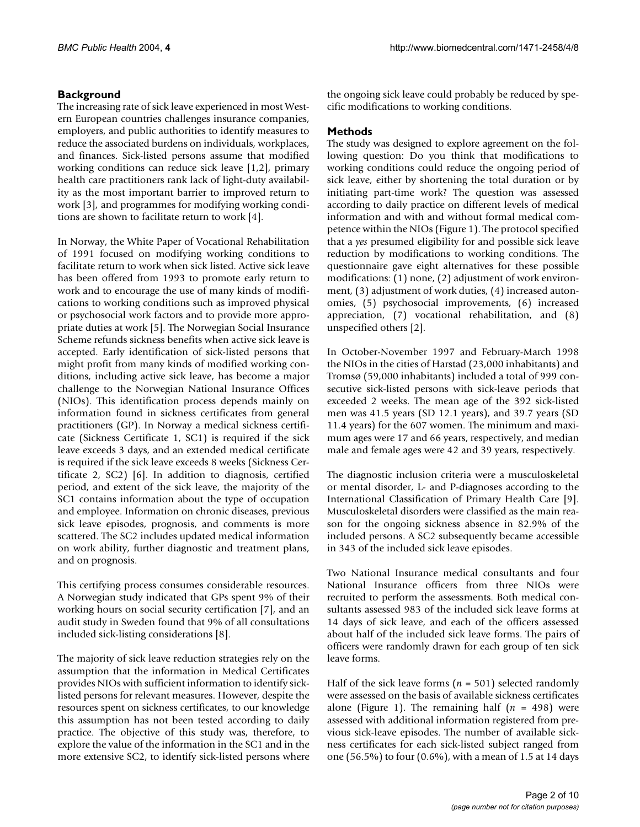# **Background**

The increasing rate of sick leave experienced in most Western European countries challenges insurance companies, employers, and public authorities to identify measures to reduce the associated burdens on individuals, workplaces, and finances. Sick-listed persons assume that modified working conditions can reduce sick leave [1,2], primary health care practitioners rank lack of light-duty availability as the most important barrier to improved return to work [3], and programmes for modifying working conditions are shown to facilitate return to work [4].

In Norway, the White Paper of Vocational Rehabilitation of 1991 focused on modifying working conditions to facilitate return to work when sick listed. Active sick leave has been offered from 1993 to promote early return to work and to encourage the use of many kinds of modifications to working conditions such as improved physical or psychosocial work factors and to provide more appropriate duties at work [5]. The Norwegian Social Insurance Scheme refunds sickness benefits when active sick leave is accepted. Early identification of sick-listed persons that might profit from many kinds of modified working conditions, including active sick leave, has become a major challenge to the Norwegian National Insurance Offices (NIOs). This identification process depends mainly on information found in sickness certificates from general practitioners (GP). In Norway a medical sickness certificate (Sickness Certificate 1, SC1) is required if the sick leave exceeds 3 days, and an extended medical certificate is required if the sick leave exceeds 8 weeks (Sickness Certificate 2, SC2) [6]. In addition to diagnosis, certified period, and extent of the sick leave, the majority of the SC1 contains information about the type of occupation and employee. Information on chronic diseases, previous sick leave episodes, prognosis, and comments is more scattered. The SC2 includes updated medical information on work ability, further diagnostic and treatment plans, and on prognosis.

This certifying process consumes considerable resources. A Norwegian study indicated that GPs spent 9% of their working hours on social security certification [7], and an audit study in Sweden found that 9% of all consultations included sick-listing considerations [8].

The majority of sick leave reduction strategies rely on the assumption that the information in Medical Certificates provides NIOs with sufficient information to identify sicklisted persons for relevant measures. However, despite the resources spent on sickness certificates, to our knowledge this assumption has not been tested according to daily practice. The objective of this study was, therefore, to explore the value of the information in the SC1 and in the more extensive SC2, to identify sick-listed persons where the ongoing sick leave could probably be reduced by specific modifications to working conditions.

# **Methods**

The study was designed to explore agreement on the following question: Do you think that modifications to working conditions could reduce the ongoing period of sick leave, either by shortening the total duration or by initiating part-time work? The question was assessed according to daily practice on different levels of medical information and with and without formal medical competence within the NIOs (Figure [1](#page-2-0)). The protocol specified that a *yes* presumed eligibility for and possible sick leave reduction by modifications to working conditions. The questionnaire gave eight alternatives for these possible modifications: (1) none, (2) adjustment of work environment, (3) adjustment of work duties, (4) increased autonomies, (5) psychosocial improvements, (6) increased appreciation, (7) vocational rehabilitation, and (8) unspecified others [2].

In October-November 1997 and February-March 1998 the NIOs in the cities of Harstad (23,000 inhabitants) and Tromsø (59,000 inhabitants) included a total of 999 consecutive sick-listed persons with sick-leave periods that exceeded 2 weeks. The mean age of the 392 sick-listed men was 41.5 years (SD 12.1 years), and 39.7 years (SD 11.4 years) for the 607 women. The minimum and maximum ages were 17 and 66 years, respectively, and median male and female ages were 42 and 39 years, respectively.

The diagnostic inclusion criteria were a musculoskeletal or mental disorder, L- and P-diagnoses according to the International Classification of Primary Health Care [9]. Musculoskeletal disorders were classified as the main reason for the ongoing sickness absence in 82.9% of the included persons. A SC2 subsequently became accessible in 343 of the included sick leave episodes.

Two National Insurance medical consultants and four National Insurance officers from three NIOs were recruited to perform the assessments. Both medical consultants assessed 983 of the included sick leave forms at 14 days of sick leave, and each of the officers assessed about half of the included sick leave forms. The pairs of officers were randomly drawn for each group of ten sick leave forms.

Half of the sick leave forms (*n* = 501) selected randomly were assessed on the basis of available sickness certificates alone (Figure [1\)](#page-2-0). The remaining half (*n* = 498) were assessed with additional information registered from previous sick-leave episodes. The number of available sickness certificates for each sick-listed subject ranged from one (56.5%) to four (0.6%), with a mean of 1.5 at 14 days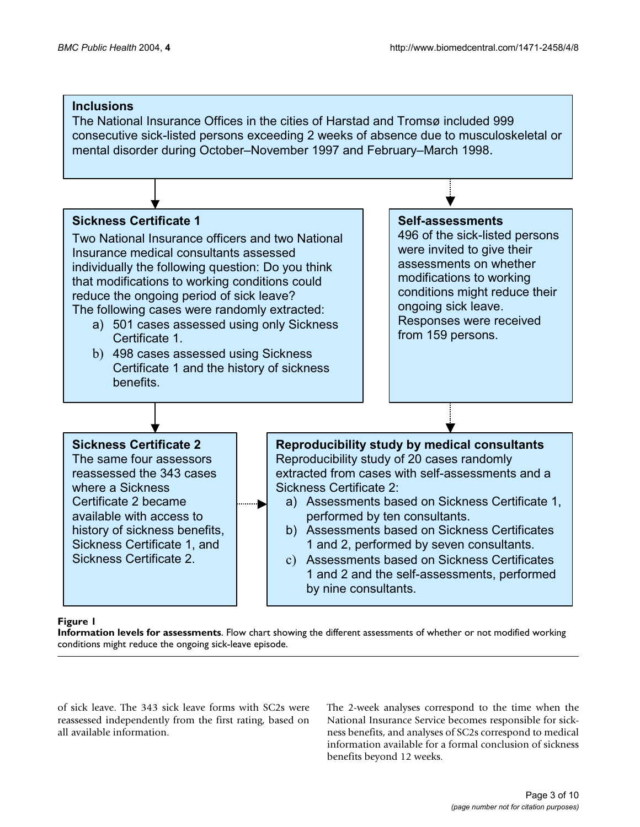<span id="page-2-0"></span>

# **Figure 1**

**Information levels for assessments**. Flow chart showing the different assessments of whether or not modified working conditions might reduce the ongoing sick-leave episode.

of sick leave. The 343 sick leave forms with SC2s were reassessed independently from the first rating, based on all available information.

The 2-week analyses correspond to the time when the National Insurance Service becomes responsible for sickness benefits, and analyses of SC2s correspond to medical information available for a formal conclusion of sickness benefits beyond 12 weeks.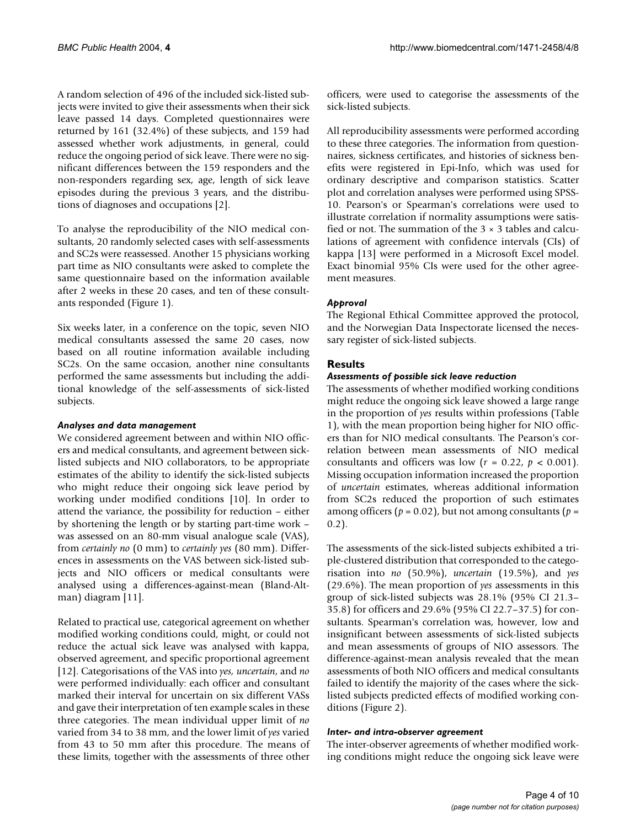A random selection of 496 of the included sick-listed subjects were invited to give their assessments when their sick leave passed 14 days. Completed questionnaires were returned by 161 (32.4%) of these subjects, and 159 had assessed whether work adjustments, in general, could reduce the ongoing period of sick leave. There were no significant differences between the 159 responders and the non-responders regarding sex, age, length of sick leave episodes during the previous 3 years, and the distributions of diagnoses and occupations [2].

To analyse the reproducibility of the NIO medical consultants, 20 randomly selected cases with self-assessments and SC2s were reassessed. Another 15 physicians working part time as NIO consultants were asked to complete the same questionnaire based on the information available after 2 weeks in these 20 cases, and ten of these consultants responded (Figure [1\)](#page-2-0).

Six weeks later, in a conference on the topic, seven NIO medical consultants assessed the same 20 cases, now based on all routine information available including SC2s. On the same occasion, another nine consultants performed the same assessments but including the additional knowledge of the self-assessments of sick-listed subjects.

# *Analyses and data management*

We considered agreement between and within NIO officers and medical consultants, and agreement between sicklisted subjects and NIO collaborators, to be appropriate estimates of the ability to identify the sick-listed subjects who might reduce their ongoing sick leave period by working under modified conditions [10]. In order to attend the variance, the possibility for reduction – either by shortening the length or by starting part-time work – was assessed on an 80-mm visual analogue scale (VAS), from *certainly no* (0 mm) to *certainly yes* (80 mm). Differences in assessments on the VAS between sick-listed subjects and NIO officers or medical consultants were analysed using a differences-against-mean (Bland-Altman) diagram [11].

Related to practical use, categorical agreement on whether modified working conditions could, might, or could not reduce the actual sick leave was analysed with kappa, observed agreement, and specific proportional agreement [12]. Categorisations of the VAS into *yes, uncertain*, and *no* were performed individually: each officer and consultant marked their interval for uncertain on six different VASs and gave their interpretation of ten example scales in these three categories. The mean individual upper limit of *no* varied from 34 to 38 mm, and the lower limit of *yes* varied from 43 to 50 mm after this procedure. The means of these limits, together with the assessments of three other

officers, were used to categorise the assessments of the sick-listed subjects.

All reproducibility assessments were performed according to these three categories. The information from questionnaires, sickness certificates, and histories of sickness benefits were registered in Epi-Info, which was used for ordinary descriptive and comparison statistics. Scatter plot and correlation analyses were performed using SPSS-10. Pearson's or Spearman's correlations were used to illustrate correlation if normality assumptions were satisfied or not. The summation of the  $3 \times 3$  tables and calculations of agreement with confidence intervals (CIs) of kappa [13] were performed in a Microsoft Excel model. Exact binomial 95% CIs were used for the other agreement measures.

# *Approval*

The Regional Ethical Committee approved the protocol, and the Norwegian Data Inspectorate licensed the necessary register of sick-listed subjects.

# **Results**

# *Assessments of possible sick leave reduction*

The assessments of whether modified working conditions might reduce the ongoing sick leave showed a large range in the proportion of *yes* results within professions (Table [1](#page-4-0)), with the mean proportion being higher for NIO officers than for NIO medical consultants. The Pearson's correlation between mean assessments of NIO medical consultants and officers was low  $(r = 0.22, p < 0.001)$ . Missing occupation information increased the proportion of *uncertain* estimates, whereas additional information from SC2s reduced the proportion of such estimates among officers ( $p = 0.02$ ), but not among consultants ( $p =$ 0.2).

The assessments of the sick-listed subjects exhibited a triple-clustered distribution that corresponded to the categorisation into *no* (50.9%), *uncertain* (19.5%), and *yes* (29.6%). The mean proportion of *yes* assessments in this group of sick-listed subjects was 28.1% (95% CI 21.3– 35.8) for officers and 29.6% (95% CI 22.7–37.5) for consultants. Spearman's correlation was, however, low and insignificant between assessments of sick-listed subjects and mean assessments of groups of NIO assessors. The difference-against-mean analysis revealed that the mean assessments of both NIO officers and medical consultants failed to identify the majority of the cases where the sicklisted subjects predicted effects of modified working conditions (Figure [2\)](#page-5-0).

# *Inter- and intra-observer agreement*

The inter-observer agreements of whether modified working conditions might reduce the ongoing sick leave were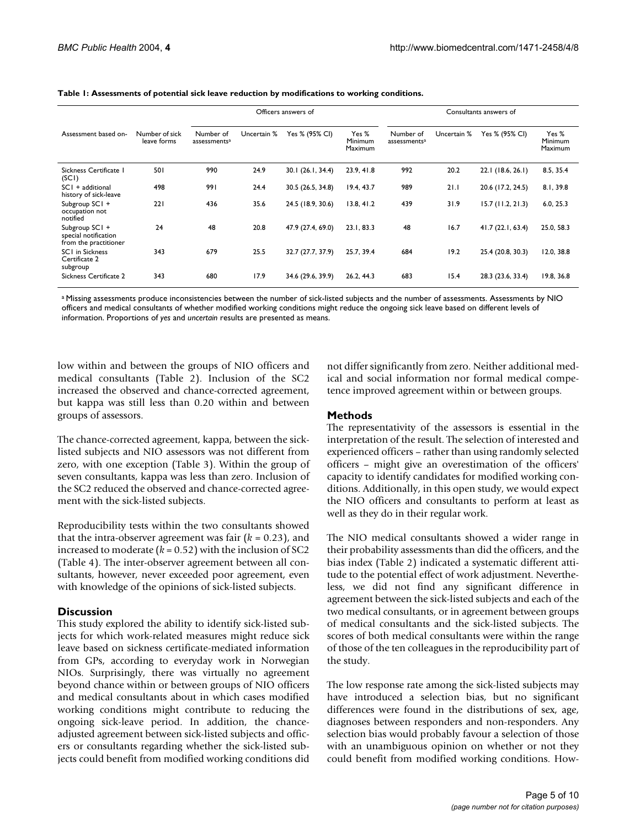|                                                                 |                               | Officers answers of                   |             |                   |                             | Consultants answers of                |             |                     |                                    |
|-----------------------------------------------------------------|-------------------------------|---------------------------------------|-------------|-------------------|-----------------------------|---------------------------------------|-------------|---------------------|------------------------------------|
| Assessment based on-                                            | Number of sick<br>leave forms | Number of<br>assessments <sup>a</sup> | Uncertain % | Yes % (95% CI)    | Yes %<br>Minimum<br>Maximum | Number of<br>assessments <sup>a</sup> | Uncertain % | Yes % (95% CI)      | Yes %<br><b>Minimum</b><br>Maximum |
| Sickness Certificate  <br>(SCI)                                 | 501                           | 990                                   | 24.9        | 30.1(26.1, 34.4)  | 23.9, 41.8                  | 992                                   | 20.2        | 22.1 (18.6, 26.1)   | 8.5, 35.4                          |
| $SCI + additional$<br>history of sick-leave                     | 498                           | 991                                   | 24.4        | 30.5 (26.5, 34.8) | 19.4, 43.7                  | 989                                   | 21.1        | 20.6 (17.2, 24.5)   | 8.1, 39.8                          |
| Subgroup SCI +<br>occupation not<br>notified                    | 221                           | 436                                   | 35.6        | 24.5 (18.9, 30.6) | 13.8, 41.2                  | 439                                   | 31.9        | $15.7$ (11.2, 21.3) | 6.0, 25.3                          |
| Subgroup SCI +<br>special notification<br>from the practitioner | 24                            | 48                                    | 20.8        | 47.9 (27.4, 69.0) | 23.1, 83.3                  | 48                                    | 16.7        | 41.7 (22.1, 63.4)   | 25.0, 58.3                         |
| <b>SCI</b> in Sickness<br>Certificate 2<br>subgroup             | 343                           | 679                                   | 25.5        | 32.7 (27.7, 37.9) | 25.7, 39.4                  | 684                                   | 19.2        | 25.4 (20.8, 30.3)   | 12.0, 38.8                         |
| Sickness Certificate 2                                          | 343                           | 680                                   | 17.9        | 34.6 (29.6, 39.9) | 26.2, 44.3                  | 683                                   | 15.4        | 28.3 (23.6, 33.4)   | 19.8, 36.8                         |

<span id="page-4-0"></span>**Table 1: Assessments of potential sick leave reduction by modifications to working conditions.**

a Missing assessments produce inconsistencies between the number of sick-listed subjects and the number of assessments. Assessments by NIO officers and medical consultants of whether modified working conditions might reduce the ongoing sick leave based on different levels of information. Proportions of *yes* and *uncertain* results are presented as means.

low within and between the groups of NIO officers and medical consultants (Table [2\)](#page-6-0). Inclusion of the SC2 increased the observed and chance-corrected agreement, but kappa was still less than 0.20 within and between groups of assessors.

The chance-corrected agreement, kappa, between the sicklisted subjects and NIO assessors was not different from zero, with one exception (Table [3](#page-6-1)). Within the group of seven consultants, kappa was less than zero. Inclusion of the SC2 reduced the observed and chance-corrected agreement with the sick-listed subjects.

Reproducibility tests within the two consultants showed that the intra-observer agreement was fair (*k* = 0.23), and increased to moderate  $(k = 0.52)$  with the inclusion of SC2 (Table [4](#page-7-0)). The inter-observer agreement between all consultants, however, never exceeded poor agreement, even with knowledge of the opinions of sick-listed subjects.

# **Discussion**

This study explored the ability to identify sick-listed subjects for which work-related measures might reduce sick leave based on sickness certificate-mediated information from GPs, according to everyday work in Norwegian NIOs. Surprisingly, there was virtually no agreement beyond chance within or between groups of NIO officers and medical consultants about in which cases modified working conditions might contribute to reducing the ongoing sick-leave period. In addition, the chanceadjusted agreement between sick-listed subjects and officers or consultants regarding whether the sick-listed subjects could benefit from modified working conditions did not differ significantly from zero. Neither additional medical and social information nor formal medical competence improved agreement within or between groups.

### **Methods**

The representativity of the assessors is essential in the interpretation of the result. The selection of interested and experienced officers – rather than using randomly selected officers – might give an overestimation of the officers' capacity to identify candidates for modified working conditions. Additionally, in this open study, we would expect the NIO officers and consultants to perform at least as well as they do in their regular work.

The NIO medical consultants showed a wider range in their probability assessments than did the officers, and the bias index (Table [2\)](#page-6-0) indicated a systematic different attitude to the potential effect of work adjustment. Nevertheless, we did not find any significant difference in agreement between the sick-listed subjects and each of the two medical consultants, or in agreement between groups of medical consultants and the sick-listed subjects. The scores of both medical consultants were within the range of those of the ten colleagues in the reproducibility part of the study.

The low response rate among the sick-listed subjects may have introduced a selection bias, but no significant differences were found in the distributions of sex, age, diagnoses between responders and non-responders. Any selection bias would probably favour a selection of those with an unambiguous opinion on whether or not they could benefit from modified working conditions. How-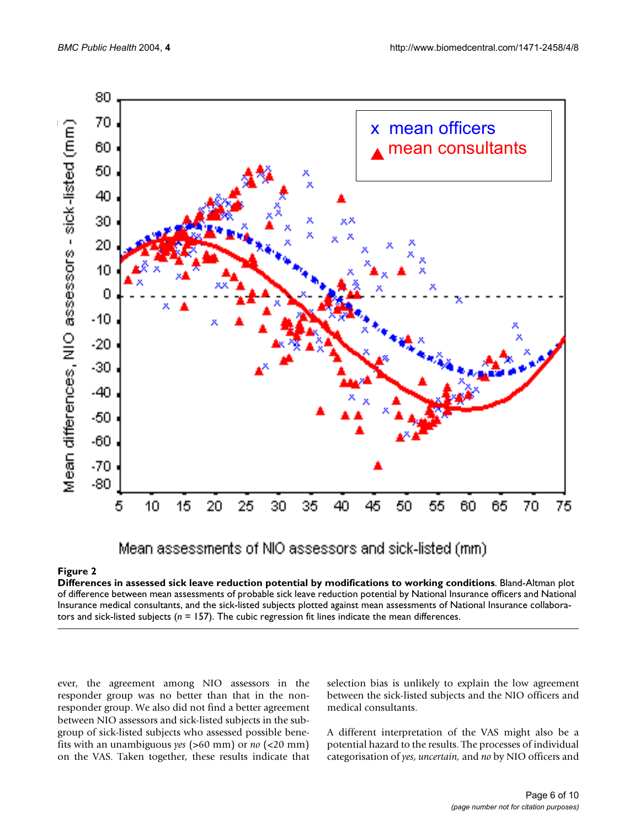<span id="page-5-0"></span>

Mean assessments of NIO assessors and sick-listed (mm)

# Differences in assessed sick leave reduction po **Figure 2** tential by modifications to working conditions

**Differences in assessed sick leave reduction potential by modifications to working conditions**. Bland-Altman plot of difference between mean assessments of probable sick leave reduction potential by National Insurance officers and National Insurance medical consultants, and the sick-listed subjects plotted against mean assessments of National Insurance collaborators and sick-listed subjects (*n* = 157). The cubic regression fit lines indicate the mean differences.

ever, the agreement among NIO assessors in the responder group was no better than that in the nonresponder group. We also did not find a better agreement between NIO assessors and sick-listed subjects in the subgroup of sick-listed subjects who assessed possible benefits with an unambiguous *yes* (>60 mm) or *no* (<20 mm) on the VAS. Taken together, these results indicate that selection bias is unlikely to explain the low agreement between the sick-listed subjects and the NIO officers and medical consultants.

A different interpretation of the VAS might also be a potential hazard to the results. The processes of individual categorisation of *yes*, *uncertain,* and *no* by NIO officers and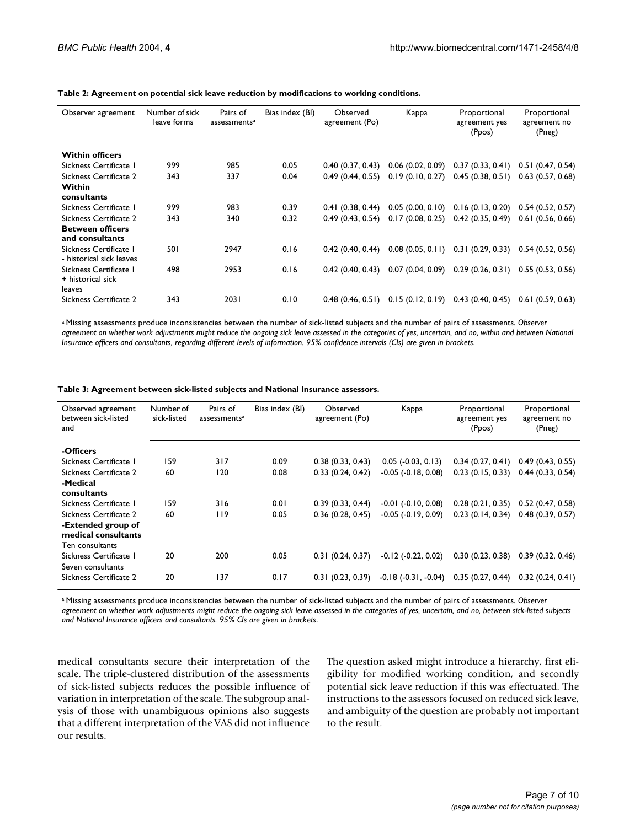| Observer agreement                                    | Number of sick<br>leave forms | Pairs of<br>assessments <sup>a</sup> | Bias index (BI) | Observed<br>agreement (Po) | Kappa                                   | Proportional<br>agreement yes<br>(Ppos) | Proportional<br>agreement no<br>(Pneg) |
|-------------------------------------------------------|-------------------------------|--------------------------------------|-----------------|----------------------------|-----------------------------------------|-----------------------------------------|----------------------------------------|
| <b>Within officers</b>                                |                               |                                      |                 |                            |                                         |                                         |                                        |
| Sickness Certificate 1                                | 999                           | 985                                  | 0.05            | 0.40(0.37, 0.43)           | $0.06$ (0.02, 0.09)                     | 0.37(0.33, 0.41)                        | 0.51(0.47, 0.54)                       |
| Sickness Certificate 2                                | 343                           | 337                                  | 0.04            |                            | $0.49(0.44, 0.55)$ $0.19(0.10, 0.27)$   | 0.45(0.38, 0.51)                        | $0.63$ (0.57, 0.68)                    |
| <b>Within</b><br>consultants                          |                               |                                      |                 |                            |                                         |                                         |                                        |
| Sickness Certificate I                                | 999                           | 983                                  | 0.39            | 0.41(0.38, 0.44)           | 0.05(0.00, 0.10)                        | 0.16(0.13, 0.20)                        | 0.54(0.52, 0.57)                       |
| Sickness Certificate 2                                | 343                           | 340                                  | 0.32            |                            | $0.49(0.43, 0.54)$ 0.17 (0.08, 0.25)    | 0.42(0.35, 0.49)                        | 0.61(0.56, 0.66)                       |
| <b>Between officers</b><br>and consultants            |                               |                                      |                 |                            |                                         |                                         |                                        |
| Sickness Certificate 1<br>- historical sick leaves    | 501                           | 2947                                 | 0.16            | $0.42$ (0.40, 0.44)        | 0.08(0.05, 0.11)                        | 0.31(0.29, 0.33)                        | 0.54(0.52, 0.56)                       |
| Sickness Certificate 1<br>+ historical sick<br>leaves | 498                           | 2953                                 | 0.16            |                            | $0.42$ (0.40, 0.43) $0.07$ (0.04, 0.09) | 0.29(0.26, 0.31)                        | 0.55(0.53, 0.56)                       |
| Sickness Certificate 2                                | 343                           | 2031                                 | 0.10            |                            | $0.48$ (0.46, 0.51) $0.15$ (0.12, 0.19) | 0.43(0.40, 0.45)                        | 0.61(0.59, 0.63)                       |

<span id="page-6-0"></span>**Table 2: Agreement on potential sick leave reduction by modifications to working conditions.**

a Missing assessments produce inconsistencies between the number of sick-listed subjects and the number of pairs of assessments. *Observer agreement on whether work adjustments might reduce the ongoing sick leave assessed in the categories of yes, uncertain, and no, within and between National Insurance officers and consultants, regarding different levels of information. 95% confidence intervals (CIs) are given in brackets*.

<span id="page-6-1"></span>

| Table 3: Agreement between sick-listed subjects and National Insurance assessors. |  |  |  |  |  |
|-----------------------------------------------------------------------------------|--|--|--|--|--|
|-----------------------------------------------------------------------------------|--|--|--|--|--|

| Observed agreement<br>between sick-listed<br>and             | Number of<br>sick-listed | Pairs of<br>assessments <sup>a</sup> | Bias index (BI) | Observed<br>agreement (Po) | Kappa                       | Proportional<br>agreement yes<br>(Ppos) | Proportional<br>agreement no<br>(Pneg) |
|--------------------------------------------------------------|--------------------------|--------------------------------------|-----------------|----------------------------|-----------------------------|-----------------------------------------|----------------------------------------|
| -Officers                                                    |                          |                                      |                 |                            |                             |                                         |                                        |
| Sickness Certificate 1                                       | 159                      | 317                                  | 0.09            | 0.38(0.33, 0.43)           | $0.05$ ( $-0.03$ , $0.13$ ) | 0.34(0.27, 0.41)                        | 0.49(0.43, 0.55)                       |
| Sickness Certificate 2                                       | 60                       | 120                                  | 0.08            | 0.33(0.24, 0.42)           | $-0.05$ $(-0.18, 0.08)$     | 0.23(0.15, 0.33)                        | 0.44(0.33, 0.54)                       |
| -Medical<br>consultants                                      |                          |                                      |                 |                            |                             |                                         |                                        |
| Sickness Certificate 1                                       | 159                      | 316                                  | 0.01            | 0.39(0.33, 0.44)           | $-0.01$ $(-0.10, 0.08)$     | 0.28(0.21, 0.35)                        | 0.52(0.47, 0.58)                       |
| Sickness Certificate 2                                       | 60                       | I 19                                 | 0.05            | 0.36(0.28, 0.45)           | $-0.05$ ( $-0.19, 0.09$ )   | 0.23(0.14, 0.34)                        | 0.48(0.39, 0.57)                       |
| -Extended group of<br>medical consultants<br>Ten consultants |                          |                                      |                 |                            |                             |                                         |                                        |
| Sickness Certificate 1<br>Seven consultants                  | 20                       | 200                                  | 0.05            | 0.31(0.24, 0.37)           | $-0.12$ $(-0.22, 0.02)$     | 0.30(0.23, 0.38)                        | 0.39(0.32, 0.46)                       |
| Sickness Certificate 2                                       | 20                       | 137                                  | 0.17            | 0.31(0.23, 0.39)           | $-0.18(-0.31,-0.04)$        | 0.35(0.27, 0.44)                        | 0.32(0.24, 0.41)                       |

a Missing assessments produce inconsistencies between the number of sick-listed subjects and the number of pairs of assessments. *Observer agreement on whether work adjustments might reduce the ongoing sick leave assessed in the categories of yes, uncertain, and no, between sick-listed subjects and National Insurance officers and consultants. 95% CIs are given in brackets*.

medical consultants secure their interpretation of the scale. The triple-clustered distribution of the assessments of sick-listed subjects reduces the possible influence of variation in interpretation of the scale. The subgroup analysis of those with unambiguous opinions also suggests that a different interpretation of the VAS did not influence our results.

The question asked might introduce a hierarchy, first eligibility for modified working condition, and secondly potential sick leave reduction if this was effectuated. The instructions to the assessors focused on reduced sick leave, and ambiguity of the question are probably not important to the result.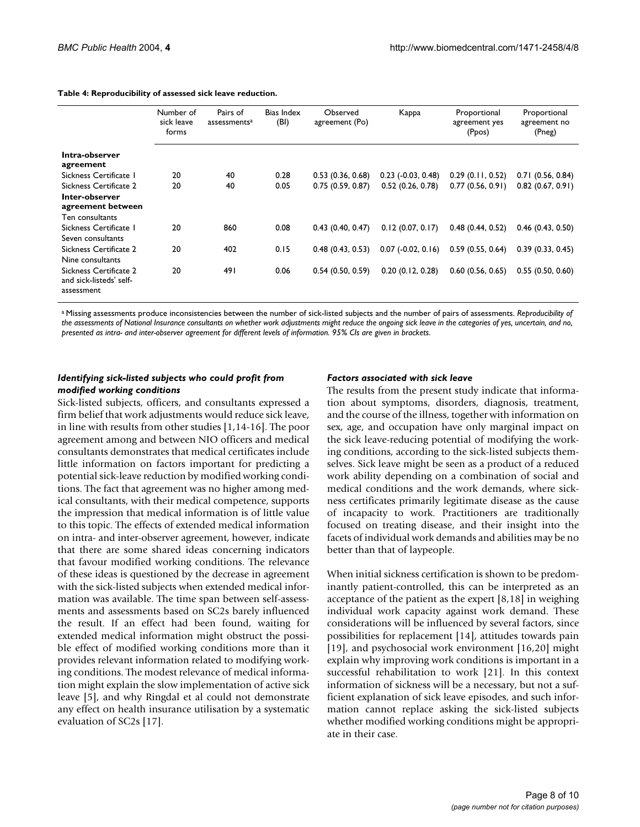|                                                                 | Number of<br>sick leave<br>forms | Pairs of<br>assessments <sup>a</sup> | Bias Index<br>(BI) | Observed<br>agreement (Po) | Kappa                       | Proportional<br>agreement yes<br>(Ppos) | Proportional<br>agreement no<br>(Pneg) |
|-----------------------------------------------------------------|----------------------------------|--------------------------------------|--------------------|----------------------------|-----------------------------|-----------------------------------------|----------------------------------------|
| Intra-observer<br>agreement                                     |                                  |                                      |                    |                            |                             |                                         |                                        |
| Sickness Certificate I                                          | 20                               | 40                                   | 0.28               | 0.53(0.36, 0.68)           | $0.23$ ( $-0.03$ , $0.48$ ) | 0.29(0.11, 0.52)                        | 0.71(0.56, 0.84)                       |
| Sickness Certificate 2                                          | 20                               | 40                                   | 0.05               | 0.75(0.59, 0.87)           | 0.52(0.26, 0.78)            | 0.77(0.56, 0.91)                        | 0.82(0.67, 0.91)                       |
| Inter-observer<br>agreement between<br>Ten consultants          |                                  |                                      |                    |                            |                             |                                         |                                        |
| Sickness Certificate I<br>Seven consultants                     | 20                               | 860                                  | 0.08               | 0.43(0.40, 0.47)           | 0.12(0.07, 0.17)            | 0.48(0.44, 0.52)                        | $0.46$ (0.43, 0.50)                    |
| Sickness Certificate 2<br>Nine consultants                      | 20                               | 402                                  | 0.15               | 0.48(0.43, 0.53)           | $0.07$ ( $-0.02$ , $0.16$ ) | 0.59(0.55, 0.64)                        | 0.39(0.33, 0.45)                       |
| Sickness Certificate 2<br>and sick-listeds' self-<br>assessment | 20                               | 491                                  | 0.06               | 0.54(0.50, 0.59)           | 0.20(0.12, 0.28)            | 0.60(0.56, 0.65)                        | 0.55(0.50, 0.60)                       |

#### <span id="page-7-0"></span>**Table 4: Reproducibility of assessed sick leave reduction.**

a Missing assessments produce inconsistencies between the number of sick-listed subjects and the number of pairs of assessments. *Reproducibility of the assessments of National Insurance consultants on whether work adjustments might reduce the ongoing sick leave in the categories of yes, uncertain, and no, presented as intra- and inter-observer agreement for different levels of information. 95% CIs are given in brackets*.

# *Identifying sick-listed subjects who could profit from modified working conditions*

Sick-listed subjects, officers, and consultants expressed a firm belief that work adjustments would reduce sick leave, in line with results from other studies [1,14-16]. The poor agreement among and between NIO officers and medical consultants demonstrates that medical certificates include little information on factors important for predicting a potential sick-leave reduction by modified working conditions. The fact that agreement was no higher among medical consultants, with their medical competence, supports the impression that medical information is of little value to this topic. The effects of extended medical information on intra- and inter-observer agreement, however, indicate that there are some shared ideas concerning indicators that favour modified working conditions. The relevance of these ideas is questioned by the decrease in agreement with the sick-listed subjects when extended medical information was available. The time span between self-assessments and assessments based on SC2s barely influenced the result. If an effect had been found, waiting for extended medical information might obstruct the possible effect of modified working conditions more than it provides relevant information related to modifying working conditions. The modest relevance of medical information might explain the slow implementation of active sick leave [5], and why Ringdal et al could not demonstrate any effect on health insurance utilisation by a systematic evaluation of SC2s [17].

# *Factors associated with sick leave*

The results from the present study indicate that information about symptoms, disorders, diagnosis, treatment, and the course of the illness, together with information on sex, age, and occupation have only marginal impact on the sick leave-reducing potential of modifying the working conditions, according to the sick-listed subjects themselves. Sick leave might be seen as a product of a reduced work ability depending on a combination of social and medical conditions and the work demands, where sickness certificates primarily legitimate disease as the cause of incapacity to work. Practitioners are traditionally focused on treating disease, and their insight into the facets of individual work demands and abilities may be no better than that of laypeople.

When initial sickness certification is shown to be predominantly patient-controlled, this can be interpreted as an acceptance of the patient as the expert [8,18] in weighing individual work capacity against work demand. These considerations will be influenced by several factors, since possibilities for replacement [14], attitudes towards pain [19], and psychosocial work environment [16,20] might explain why improving work conditions is important in a successful rehabilitation to work [21]. In this context information of sickness will be a necessary, but not a sufficient explanation of sick leave episodes, and such information cannot replace asking the sick-listed subjects whether modified working conditions might be appropriate in their case.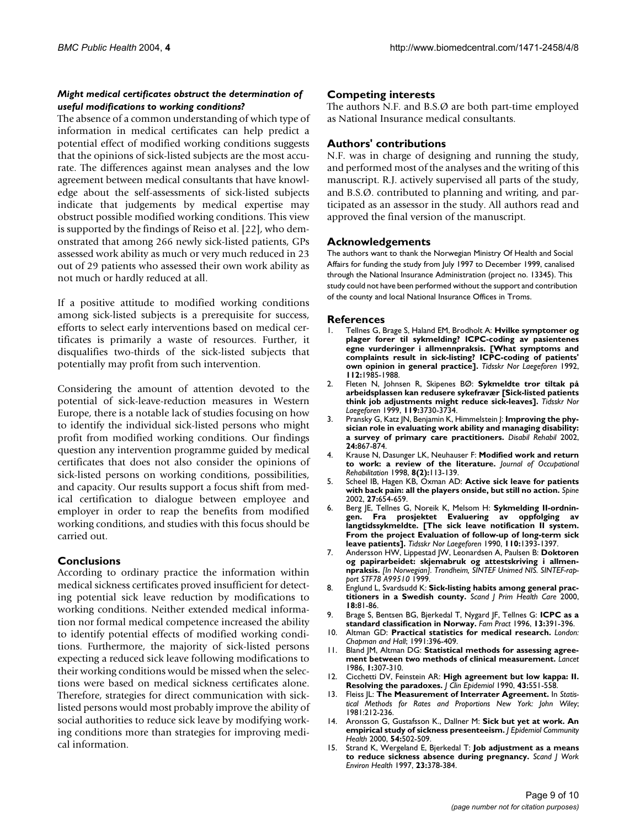# *Might medical certificates obstruct the determination of useful modifications to working conditions?*

The absence of a common understanding of which type of information in medical certificates can help predict a potential effect of modified working conditions suggests that the opinions of sick-listed subjects are the most accurate. The differences against mean analyses and the low agreement between medical consultants that have knowledge about the self-assessments of sick-listed subjects indicate that judgements by medical expertise may obstruct possible modified working conditions. This view is supported by the findings of Reiso et al. [22], who demonstrated that among 266 newly sick-listed patients, GPs assessed work ability as much or very much reduced in 23 out of 29 patients who assessed their own work ability as not much or hardly reduced at all.

If a positive attitude to modified working conditions among sick-listed subjects is a prerequisite for success, efforts to select early interventions based on medical certificates is primarily a waste of resources. Further, it disqualifies two-thirds of the sick-listed subjects that potentially may profit from such intervention.

Considering the amount of attention devoted to the potential of sick-leave-reduction measures in Western Europe, there is a notable lack of studies focusing on how to identify the individual sick-listed persons who might profit from modified working conditions. Our findings question any intervention programme guided by medical certificates that does not also consider the opinions of sick-listed persons on working conditions, possibilities, and capacity. Our results support a focus shift from medical certification to dialogue between employee and employer in order to reap the benefits from modified working conditions, and studies with this focus should be carried out.

# **Conclusions**

According to ordinary practice the information within medical sickness certificates proved insufficient for detecting potential sick leave reduction by modifications to working conditions. Neither extended medical information nor formal medical competence increased the ability to identify potential effects of modified working conditions. Furthermore, the majority of sick-listed persons expecting a reduced sick leave following modifications to their working conditions would be missed when the selections were based on medical sickness certificates alone. Therefore, strategies for direct communication with sicklisted persons would most probably improve the ability of social authorities to reduce sick leave by modifying working conditions more than strategies for improving medical information.

# **Competing interests**

The authors N.F. and B.S.Ø are both part-time employed as National Insurance medical consultants.

# **Authors' contributions**

N.F. was in charge of designing and running the study, and performed most of the analyses and the writing of this manuscript. R.J. actively supervised all parts of the study, and B.S.Ø. contributed to planning and writing, and participated as an assessor in the study. All authors read and approved the final version of the manuscript.

# **Acknowledgements**

The authors want to thank the Norwegian Ministry Of Health and Social Affairs for funding the study from July 1997 to December 1999, canalised through the National Insurance Administration (project no. 13345). This study could not have been performed without the support and contribution of the county and local National Insurance Offices in Troms.

#### **References**

- 1. Tellnes G, Brage S, Haland EM, Brodholt A: **[Hvilke symptomer og](http://www.ncbi.nlm.nih.gov/entrez/query.fcgi?cmd=Retrieve&db=PubMed&dopt=Abstract&list_uids=1509466) plager forer til sykmelding? ICPC-coding av pasientenes [egne vurderinger i allmennpraksis. \[What symptoms and](http://www.ncbi.nlm.nih.gov/entrez/query.fcgi?cmd=Retrieve&db=PubMed&dopt=Abstract&list_uids=1509466) complaints result in sick-listing? ICPC-coding of patients' [own opinion in general practice\].](http://www.ncbi.nlm.nih.gov/entrez/query.fcgi?cmd=Retrieve&db=PubMed&dopt=Abstract&list_uids=1509466)** *Tidsskr Nor Laegeforen* 1992, **112:**1985-1988.
- 2. Fleten N, Johnsen R, Skipenes BØ: **[Sykmeldte tror tiltak på](http://www.ncbi.nlm.nih.gov/entrez/query.fcgi?cmd=Retrieve&db=PubMed&dopt=Abstract&list_uids=10574048) [arbeidsplassen kan redusere sykefravær \[Sick-listed patients](http://www.ncbi.nlm.nih.gov/entrez/query.fcgi?cmd=Retrieve&db=PubMed&dopt=Abstract&list_uids=10574048) [think job adjustments might reduce sick-leaves\].](http://www.ncbi.nlm.nih.gov/entrez/query.fcgi?cmd=Retrieve&db=PubMed&dopt=Abstract&list_uids=10574048)** *Tidsskr Nor Laegeforen* 1999, **119:**3730-3734.
- 3. Pransky G, Katz JN, Benjamin K, Himmelstein J: **[Improving the phy](http://www.ncbi.nlm.nih.gov/entrez/query.fcgi?cmd=Retrieve&db=PubMed&dopt=Abstract&list_uids=10.1080/09638280210142176)[sician role in evaluating work ability and managing disability:](http://www.ncbi.nlm.nih.gov/entrez/query.fcgi?cmd=Retrieve&db=PubMed&dopt=Abstract&list_uids=10.1080/09638280210142176) [a survey of primary care practitioners](http://www.ncbi.nlm.nih.gov/entrez/query.fcgi?cmd=Retrieve&db=PubMed&dopt=Abstract&list_uids=10.1080/09638280210142176)[.](http://www.ncbi.nlm.nih.gov/entrez/query.fcgi?cmd=Retrieve&db=PubMed&dopt=Abstract&list_uids=12450463)** *Disabil Rehabil* 2002, **24:**867-874.
- 4. Krause N, Dasunger LK, Neuhauser F: **[Modified work and return](http://www.ncbi.nlm.nih.gov/entrez/query.fcgi?cmd=Retrieve&db=PubMed&dopt=Abstract&list_uids=10.1023/A:1023015622987) [to work: a review of the literature.](http://www.ncbi.nlm.nih.gov/entrez/query.fcgi?cmd=Retrieve&db=PubMed&dopt=Abstract&list_uids=10.1023/A:1023015622987)** *Journal of Occupational Rehabilitation* 1998, **8(2):**113-139.
- 5. Scheel IB, Hagen KB, Oxman AD: **[Active sick leave for patients](http://www.ncbi.nlm.nih.gov/entrez/query.fcgi?cmd=Retrieve&db=PubMed&dopt=Abstract&list_uids=10.1097/00007632-200203150-00016) [with back pain: all the players onside, but still no action](http://www.ncbi.nlm.nih.gov/entrez/query.fcgi?cmd=Retrieve&db=PubMed&dopt=Abstract&list_uids=10.1097/00007632-200203150-00016)[.](http://www.ncbi.nlm.nih.gov/entrez/query.fcgi?cmd=Retrieve&db=PubMed&dopt=Abstract&list_uids=11884914)** *Spine* 2002, **27:**654-659.
- 6. Berg JE, Tellnes G, Noreik K, Melsom H: **[Sykmelding II-ordnin](http://www.ncbi.nlm.nih.gov/entrez/query.fcgi?cmd=Retrieve&db=PubMed&dopt=Abstract&list_uids=2339388)gen. Fra prosjektet Evaluering av oppfolging av [langtidssykmeldte. \[The sick leave notification II system.](http://www.ncbi.nlm.nih.gov/entrez/query.fcgi?cmd=Retrieve&db=PubMed&dopt=Abstract&list_uids=2339388) From the project Evaluation of follow-up of long-term sick [leave patients\].](http://www.ncbi.nlm.nih.gov/entrez/query.fcgi?cmd=Retrieve&db=PubMed&dopt=Abstract&list_uids=2339388)** *Tidsskr Nor Laegeforen* 1990, **110:**1393-1397.
- 7. Andersson HW, Lippestad JW, Leonardsen A, Paulsen B: **Doktoren og papirarbeidet: skjemabruk og attestskriving i allmennpraksis.** *[In Norwegian]. Trondheim, SINTEF Unimed NIS. SINTEF-rapport STF78 A99510* 1999.
- 8. Englund L, Svardsudd K: **[Sick-listing habits among general prac](http://www.ncbi.nlm.nih.gov/entrez/query.fcgi?cmd=Retrieve&db=PubMed&dopt=Abstract&list_uids=10.1080/028134300750018954)[titioners in a Swedish county](http://www.ncbi.nlm.nih.gov/entrez/query.fcgi?cmd=Retrieve&db=PubMed&dopt=Abstract&list_uids=10.1080/028134300750018954)[.](http://www.ncbi.nlm.nih.gov/entrez/query.fcgi?cmd=Retrieve&db=PubMed&dopt=Abstract&list_uids=10944061)** *Scand J Prim Health Care* 2000, **18:**81-86.
- 9. Brage S, Bentsen BG, Bjerkedal T, Nygard JF, Tellnes G: **[ICPC as a](http://www.ncbi.nlm.nih.gov/entrez/query.fcgi?cmd=Retrieve&db=PubMed&dopt=Abstract&list_uids=8872099) [standard classification in Norway.](http://www.ncbi.nlm.nih.gov/entrez/query.fcgi?cmd=Retrieve&db=PubMed&dopt=Abstract&list_uids=8872099)** *Fam Pract* 1996, **13:**391-396.
- 10. Altman GD: **Practical statistics for medical research.** *London: Chapman and Hall*; 1991:396-409.
- 11. Bland JM, Altman DG: **[Statistical methods for assessing agree](http://www.ncbi.nlm.nih.gov/entrez/query.fcgi?cmd=Retrieve&db=PubMed&dopt=Abstract&list_uids=2868172)[ment between two methods of clinical measurement.](http://www.ncbi.nlm.nih.gov/entrez/query.fcgi?cmd=Retrieve&db=PubMed&dopt=Abstract&list_uids=2868172)** *Lancet* 1986, **1:**307-310.
- 12. Cicchetti DV, Feinstein AR: **[High agreement but low kappa: II.](http://www.ncbi.nlm.nih.gov/entrez/query.fcgi?cmd=Retrieve&db=PubMed&dopt=Abstract&list_uids=2189948) [Resolving the paradoxes.](http://www.ncbi.nlm.nih.gov/entrez/query.fcgi?cmd=Retrieve&db=PubMed&dopt=Abstract&list_uids=2189948)** *J Clin Epidemiol* 1990, **43:**551-558.
- 13. Fleiss JL: **The Measurement of Interrater Agreement.** In *Statistical Methods for Rates and Proportions New York: John Wiley*; 1981:212-236.
- 14. Aronsson G, Gustafsson K., Dallner M: **[Sick but yet at work. An](http://www.ncbi.nlm.nih.gov/entrez/query.fcgi?cmd=Retrieve&db=PubMed&dopt=Abstract&list_uids=10.1136/jech.54.7.502) [empirical study of sickness presenteeism](http://www.ncbi.nlm.nih.gov/entrez/query.fcgi?cmd=Retrieve&db=PubMed&dopt=Abstract&list_uids=10.1136/jech.54.7.502)[.](http://www.ncbi.nlm.nih.gov/entrez/query.fcgi?cmd=Retrieve&db=PubMed&dopt=Abstract&list_uids=10846192)** *J Epidemiol Community Health* 2000, **54:**502-509.
- 15. Strand K, Wergeland E, Bjerkedal T: **[Job adjustment as a means](http://www.ncbi.nlm.nih.gov/entrez/query.fcgi?cmd=Retrieve&db=PubMed&dopt=Abstract&list_uids=9403469) [to reduce sickness absence during pregnancy.](http://www.ncbi.nlm.nih.gov/entrez/query.fcgi?cmd=Retrieve&db=PubMed&dopt=Abstract&list_uids=9403469)** *Scand J Work Environ Health* 1997, **23:**378-384.